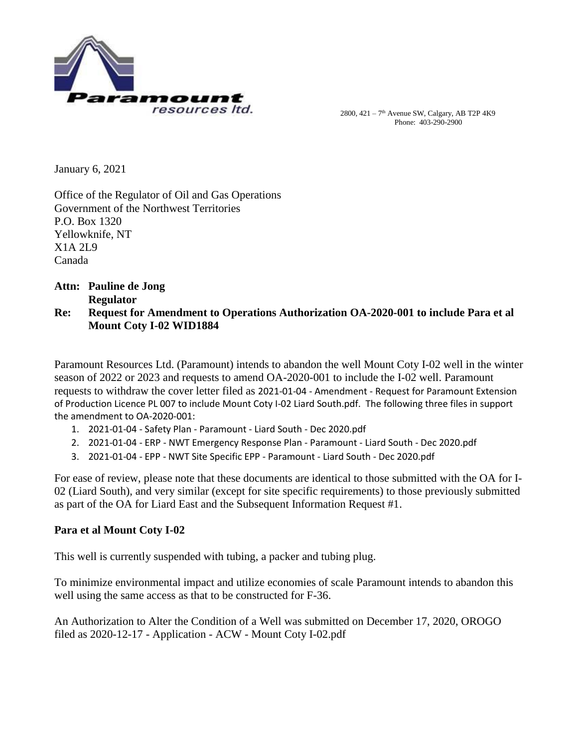

2800,  $421 - 7<sup>th</sup>$  Avenue SW, Calgary, AB T2P 4K9 Phone: 403-290-2900

January 6, 2021

Office of the Regulator of Oil and Gas Operations Government of the Northwest Territories P.O. Box 1320 Yellowknife, NT X1A 2L9 Canada

## **Attn: Pauline de Jong Regulator Re: Request for Amendment to Operations Authorization OA-2020-001 to include Para et al Mount Coty I-02 WID1884**

Paramount Resources Ltd. (Paramount) intends to abandon the well Mount Coty I-02 well in the winter season of 2022 or 2023 and requests to amend OA-2020-001 to include the I-02 well. Paramount requests to withdraw the cover letter filed as 2021-01-04 - Amendment - Request for Paramount Extension of Production Licence PL 007 to include Mount Coty I-02 Liard South.pdf. The following three files in support the amendment to OA-2020-001:

- 1. 2021-01-04 Safety Plan Paramount Liard South Dec 2020.pdf
- 2. 2021-01-04 ERP NWT Emergency Response Plan Paramount Liard South Dec 2020.pdf
- 3. 2021-01-04 EPP NWT Site Specific EPP Paramount Liard South Dec 2020.pdf

For ease of review, please note that these documents are identical to those submitted with the OA for I-02 (Liard South), and very similar (except for site specific requirements) to those previously submitted as part of the OA for Liard East and the Subsequent Information Request #1.

## **Para et al Mount Coty I-02**

This well is currently suspended with tubing, a packer and tubing plug.

To minimize environmental impact and utilize economies of scale Paramount intends to abandon this well using the same access as that to be constructed for F-36.

An Authorization to Alter the Condition of a Well was submitted on December 17, 2020, OROGO filed as 2020-12-17 - Application - ACW - Mount Coty I-02.pdf